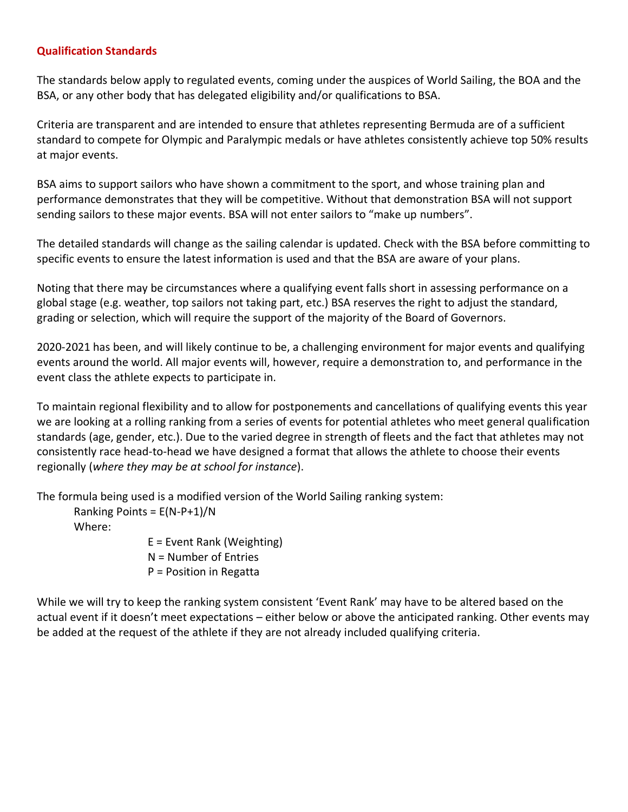## **Qualification Standards**

The standards below apply to regulated events, coming under the auspices of World Sailing, the BOA and the BSA, or any other body that has delegated eligibility and/or qualifications to BSA.

Criteria are transparent and are intended to ensure that athletes representing Bermuda are of a sufficient standard to compete for Olympic and Paralympic medals or have athletes consistently achieve top 50% results at major events.

BSA aims to support sailors who have shown a commitment to the sport, and whose training plan and performance demonstrates that they will be competitive. Without that demonstration BSA will not support sending sailors to these major events. BSA will not enter sailors to "make up numbers".

The detailed standards will change as the sailing calendar is updated. Check with the BSA before committing to specific events to ensure the latest information is used and that the BSA are aware of your plans.

Noting that there may be circumstances where a qualifying event falls short in assessing performance on a global stage (e.g. weather, top sailors not taking part, etc.) BSA reserves the right to adjust the standard, grading or selection, which will require the support of the majority of the Board of Governors.

2020-2021 has been, and will likely continue to be, a challenging environment for major events and qualifying events around the world. All major events will, however, require a demonstration to, and performance in the event class the athlete expects to participate in.

To maintain regional flexibility and to allow for postponements and cancellations of qualifying events this year we are looking at a rolling ranking from a series of events for potential athletes who meet general qualification standards (age, gender, etc.). Due to the varied degree in strength of fleets and the fact that athletes may not consistently race head-to-head we have designed a format that allows the athlete to choose their events regionally (*where they may be at school for instance*).

The formula being used is a modified version of the World Sailing ranking system:

Ranking Points =  $E(N-P+1)/N$ Where:

E = Event Rank (Weighting) N = Number of Entries P = Position in Regatta

While we will try to keep the ranking system consistent 'Event Rank' may have to be altered based on the actual event if it doesn't meet expectations – either below or above the anticipated ranking. Other events may be added at the request of the athlete if they are not already included qualifying criteria.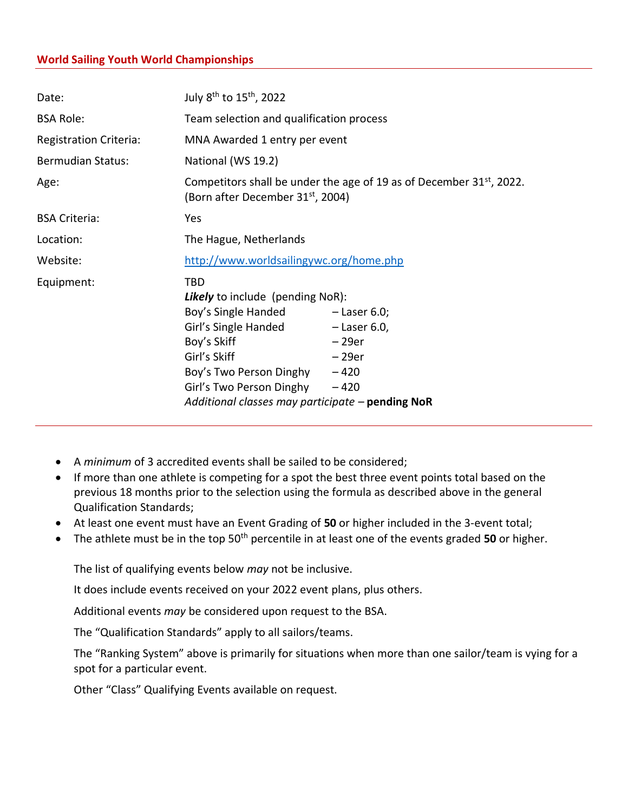## **World Sailing Youth World Championships**

| Date:                         | July 8 <sup>th</sup> to 15 <sup>th</sup> , 2022                                                                                                                                                                                                                                       |                    |  |  |
|-------------------------------|---------------------------------------------------------------------------------------------------------------------------------------------------------------------------------------------------------------------------------------------------------------------------------------|--------------------|--|--|
| <b>BSA Role:</b>              | Team selection and qualification process                                                                                                                                                                                                                                              |                    |  |  |
| <b>Registration Criteria:</b> | MNA Awarded 1 entry per event                                                                                                                                                                                                                                                         |                    |  |  |
| <b>Bermudian Status:</b>      | National (WS 19.2)                                                                                                                                                                                                                                                                    |                    |  |  |
| Age:                          | Competitors shall be under the age of 19 as of December $31st$ , 2022.<br>(Born after December 31 <sup>st</sup> , 2004)                                                                                                                                                               |                    |  |  |
| <b>BSA Criteria:</b>          | Yes                                                                                                                                                                                                                                                                                   |                    |  |  |
| Location:                     | The Hague, Netherlands                                                                                                                                                                                                                                                                |                    |  |  |
| Website:                      | http://www.worldsailingywc.org/home.php                                                                                                                                                                                                                                               |                    |  |  |
| Equipment:                    | <b>TBD</b><br><b>Likely</b> to include (pending NoR):<br>Boy's Single Handed - Laser 6.0;<br>Girl's Single Handed - Laser 6.0,<br>Boy's Skiff<br>Girl's Skiff<br>Boy's Two Person Dinghy - 420<br>Girl's Two Person Dinghy $-420$<br>Additional classes may participate - pending NoR | $-29er$<br>$-29er$ |  |  |

- A *minimum* of 3 accredited events shall be sailed to be considered;
- If more than one athlete is competing for a spot the best three event points total based on the previous 18 months prior to the selection using the formula as described above in the general Qualification Standards;
- At least one event must have an Event Grading of **50** or higher included in the 3-event total;
- The athlete must be in the top 50<sup>th</sup> percentile in at least one of the events graded 50 or higher.

The list of qualifying events below *may* not be inclusive.

It does include events received on your 2022 event plans, plus others.

Additional events *may* be considered upon request to the BSA.

The "Qualification Standards" apply to all sailors/teams.

The "Ranking System" above is primarily for situations when more than one sailor/team is vying for a spot for a particular event.

Other "Class" Qualifying Events available on request.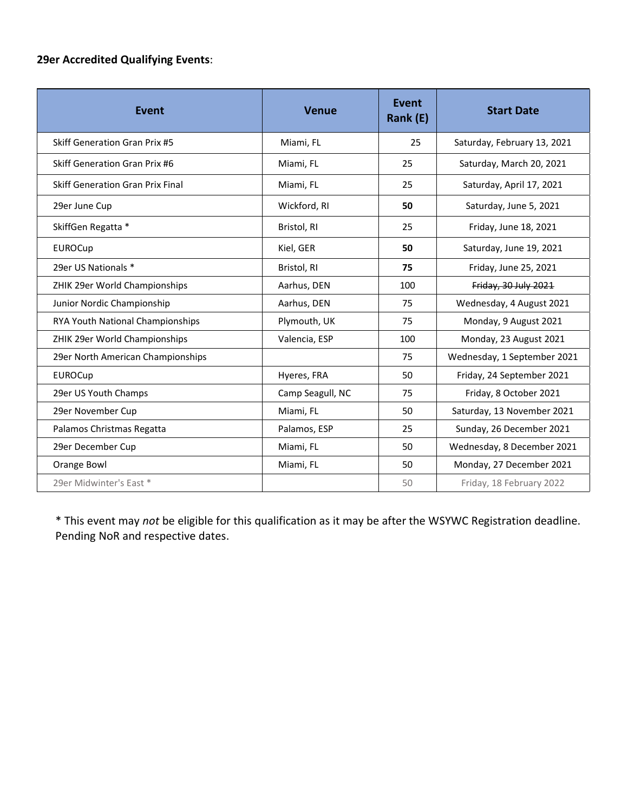## **29er Accredited Qualifying Events**:

| Event                                   | <b>Venue</b>     | <b>Event</b><br>Rank (E) | <b>Start Date</b>           |
|-----------------------------------------|------------------|--------------------------|-----------------------------|
| Skiff Generation Gran Prix #5           | Miami, FL        | 25                       | Saturday, February 13, 2021 |
| <b>Skiff Generation Gran Prix #6</b>    | Miami, FL        | 25                       | Saturday, March 20, 2021    |
| <b>Skiff Generation Gran Prix Final</b> | Miami, FL        | 25                       | Saturday, April 17, 2021    |
| 29er June Cup                           | Wickford, RI     | 50                       | Saturday, June 5, 2021      |
| SkiffGen Regatta *                      | Bristol, RI      | 25                       | Friday, June 18, 2021       |
| <b>EUROCup</b>                          | Kiel, GER        | 50                       | Saturday, June 19, 2021     |
| 29er US Nationals *                     | Bristol, RI      | 75                       | Friday, June 25, 2021       |
| ZHIK 29er World Championships           | Aarhus, DEN      | 100                      | Friday, 30 July 2021        |
| Junior Nordic Championship              | Aarhus, DEN      | 75                       | Wednesday, 4 August 2021    |
| RYA Youth National Championships        | Plymouth, UK     | 75                       | Monday, 9 August 2021       |
| ZHIK 29er World Championships           | Valencia, ESP    | 100                      | Monday, 23 August 2021      |
| 29er North American Championships       |                  | 75                       | Wednesday, 1 September 2021 |
| <b>EUROCup</b>                          | Hyeres, FRA      | 50                       | Friday, 24 September 2021   |
| 29er US Youth Champs                    | Camp Seagull, NC | 75                       | Friday, 8 October 2021      |
| 29er November Cup                       | Miami, FL        | 50                       | Saturday, 13 November 2021  |
| Palamos Christmas Regatta               | Palamos, ESP     | 25                       | Sunday, 26 December 2021    |
| 29er December Cup                       | Miami, FL        | 50                       | Wednesday, 8 December 2021  |
| Orange Bowl                             | Miami, FL        | 50                       | Monday, 27 December 2021    |
| 29er Midwinter's East *                 |                  | 50                       | Friday, 18 February 2022    |

\* This event may *not* be eligible for this qualification as it may be after the WSYWC Registration deadline. Pending NoR and respective dates.